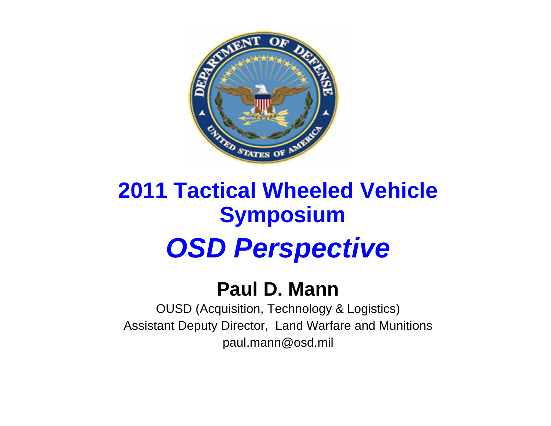

# **2011 Tactical Wheeled Vehicle Symposium OSD Perspective**

### **Paul D. Mann**

OUSD (Acquisition, Technology & Logistics) Assistant Deputy Director, Land Warfare and Munitions paul.mann@osd.mil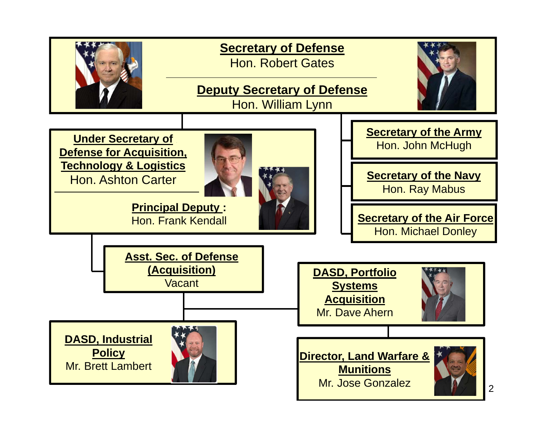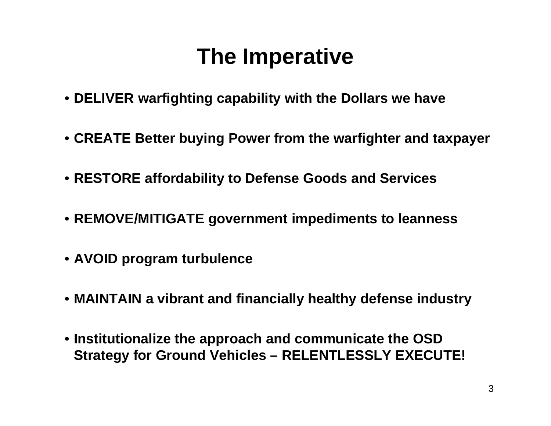## **The Imperative**

- **DELIVER warfighting capability with the Dollars we have**
- **CREATE Better buying Power from the warfighter and taxpayer**
- **RESTORE affordability to Defense Goods and Services**
- **REMOVE/MITIGATE government impediments to leanness**
- **AVOID program turbulence**
- **MAINTAIN a vibrant and financially healthy defense industry**
- **Institutionalize the approach and communicate the OSD Strategy for Ground Vehicles – RELENTLESSLY EXECUTE!**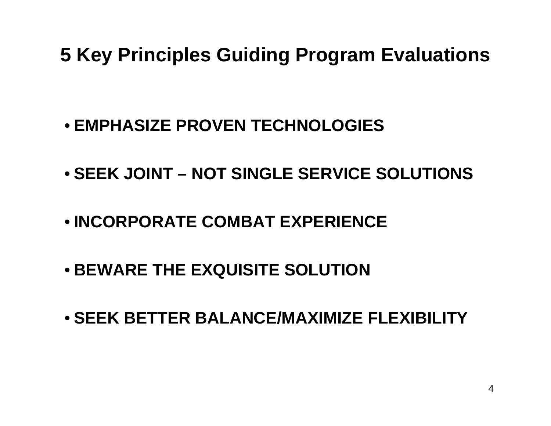### **5 Key Principles Guiding Program Evaluations**

- **EMPHASIZE PROVEN TECHNOLOGIES**
- **SEEK JOINT – NOT SINGLE SERVICE SOLUTIONS**
- **INCORPORATE COMBAT EXPERIENCE**
- **BEWARE THE EXQUISITE SOLUTION**
- **SEEK BETTER BALANCE/MAXIMIZE FLEXIBILITY**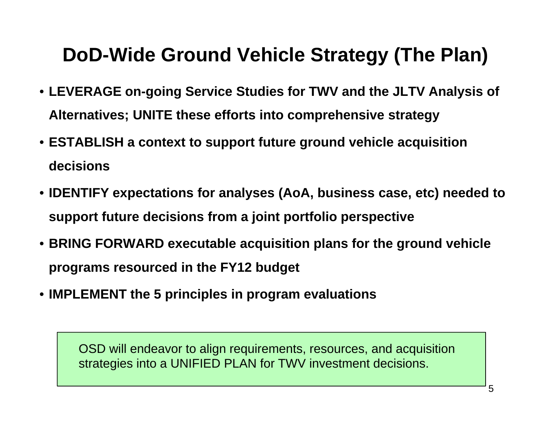### **DoD-Wide Ground Vehicle Strategy (The Plan)**

- **LEVERAGE on-going Service Studies for TWV and the JLTV Analysis of Alternatives; UNITE these efforts into comprehensive strategy**
- **ESTABLISH a context to support future ground vehicle acquisition decisions**
- **IDENTIFY expectations for analyses (AoA, business case, etc) needed to support future decisions from a joint portfolio perspective**
- **BRING FORWARD executable acquisition plans for the ground vehicle programs resourced in the FY12 budget**
- **IMPLEMENT the 5 principles in program evaluations**

OSD will endeavor to align requirements, resources, and acquisition strategies into a UNIFIED PLAN for TWV investment decisions.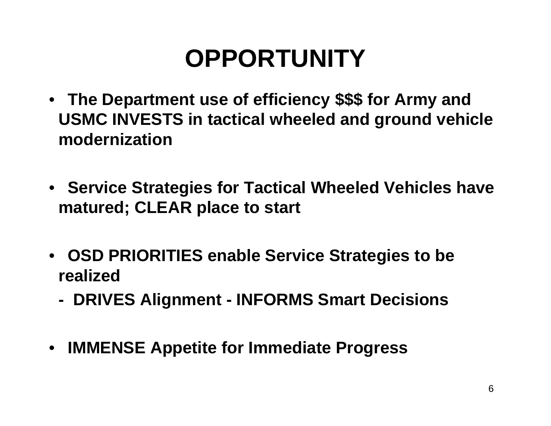# **OPPORTUNITY**

- **The Department use of efficiency \$\$\$ for Army and USMC INVESTS in tactical wheeled and ground vehicle modernization**
- **Service Strategies for Tactical Wheeled Vehicles have matured; CLEAR place to start**
- **OSD PRIORITIES enable Service Strategies to be realized**
	- **- DRIVES Alignment - INFORMS Smart Decisions**
- **IMMENSE Appetite for Immediate Progress**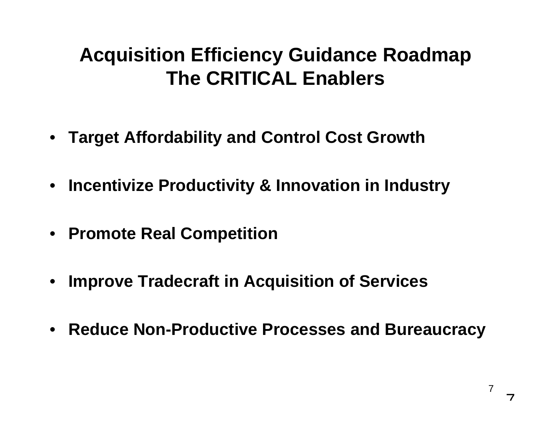### **Acquisition Efficiency Guidance Roadmap The CRITICAL Enablers**

- **Target Affordability and Control Cost Growth**
- **Incentivize Productivity & Innovation in Industry**
- **Promote Real Competition**
- •**Improve Tradecraft in Acquisition of Services**
- **Reduce Non-Productive Processes and Bureaucracy**

7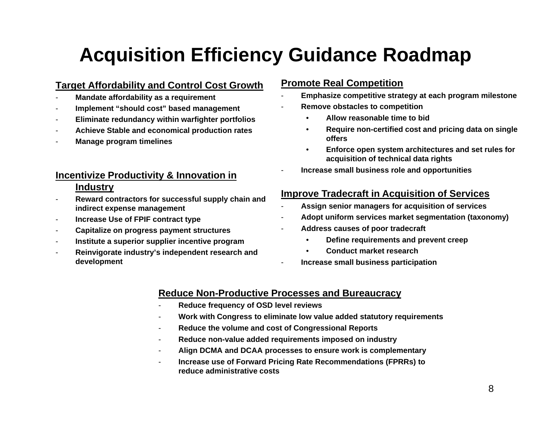### **Acquisition Efficiency Guidance Roadmap**

#### **Target Affordability and Control Cost Growth**

- -**Mandate affordability as a requirement**
- -**Implement "should cost" based management**
- -**Eliminate redundancy within warfighter portfolios**
- -**Achieve Stable and economical production rates**
- **Manage program timelines**

#### **Incentivize Productivity & Innovation in Industry**

- - **Reward contractors for successful supply chain and indirect expense management**
- -**Increase Use of FPIF contract type**
- -**Capitalize on progress payment structures**
- -**Institute a superior supplier incentive program**
- - **Reinvigorate industry's independent research and development**

#### **Promote Real Competition**

- -**Emphasize competitive strategy at each program milestone**
- - **Remove obstacles to competition**
	- •**Allow reasonable time to bid**
	- • **Require non-certified cost and pricing data on single offers**
	- • **Enforce open system architectures and set rules for acquisition of technical data rights**
- **Increase small business role and opportunities**

#### **Improve Tradecraft in Acquisition of Services**

- -**Assign senior managers for acquisition of services**
- -**Adopt uniform services market segmentation (taxonomy)**
- - **Address causes of poor tradecraft**
	- •**Define requirements and prevent creep**
	- •**Conduct market research**
- -**Increase small business participation**

#### **Reduce Non-Productive Processes and Bureaucracy**

-

- -**Reduce frequency of OSD level reviews**
- **Work with Congress to eliminate low value added statutory requirements**
- -**Reduce the volume and cost of Congressional Reports**
- **Reduce non-value added requirements imposed on industry**
- -**Align DCMA and DCAA processes to ensure work is complementary**
- - **Increase use of Forward Pricing Rate Recommendations (FPRRs) to reduce administrative costs**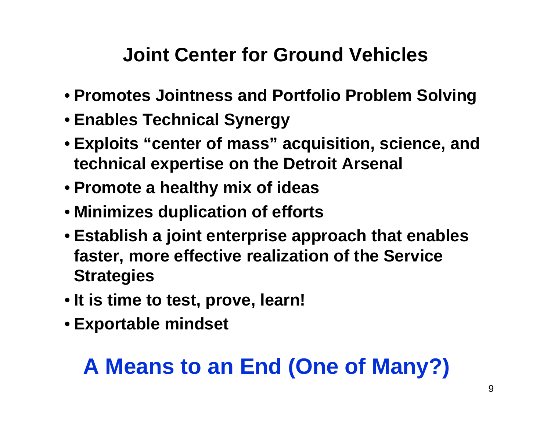### **Joint Center for Ground Vehicles**

- **Promotes Jointness and Portfolio Problem Solving**
- **Enables Technical Synergy**
- **Exploits "center of mass" acquisition, science, and technical expertise on the Detroit Arsenal**
- **Promote a healthy mix of ideas**
- **Minimizes duplication of efforts**
- **Establish a joint enterprise approach that enables faster, more effective realization of the Service Strategies**
- **It is time to test, prove, learn!**
- **Exportable mindset**

# **A Means to an End (One of Many?)**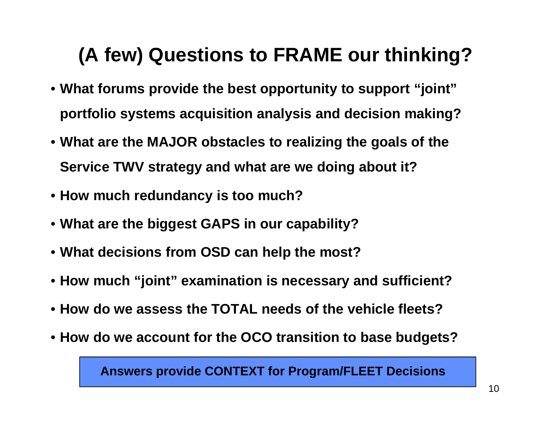### **(A few) Questions to FRAME our thinking?**

- **What forums provide the best opportunity to support "joint" portfolio systems acquisition analysis and decision making?**
- **What are the MAJOR obstacles to realizing the goals of the Service TWV strategy and what are we doing about it?**
- **How much redundancy is too much?**
- **What are the biggest GAPS in our capability?**
- **What decisions from OSD can help the most?**
- **How much "joint" examination is necessary and sufficient?**
- **How do we assess the TOTAL needs of the vehicle fleets?**
- **How do we account for the OCO transition to base budgets?**

**Answers provide CONTEXT for Program/FLEET Decisions**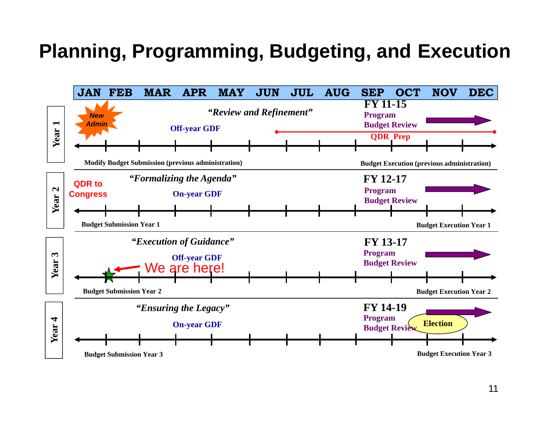### **Planning, Programming, Budgeting, and Execution**